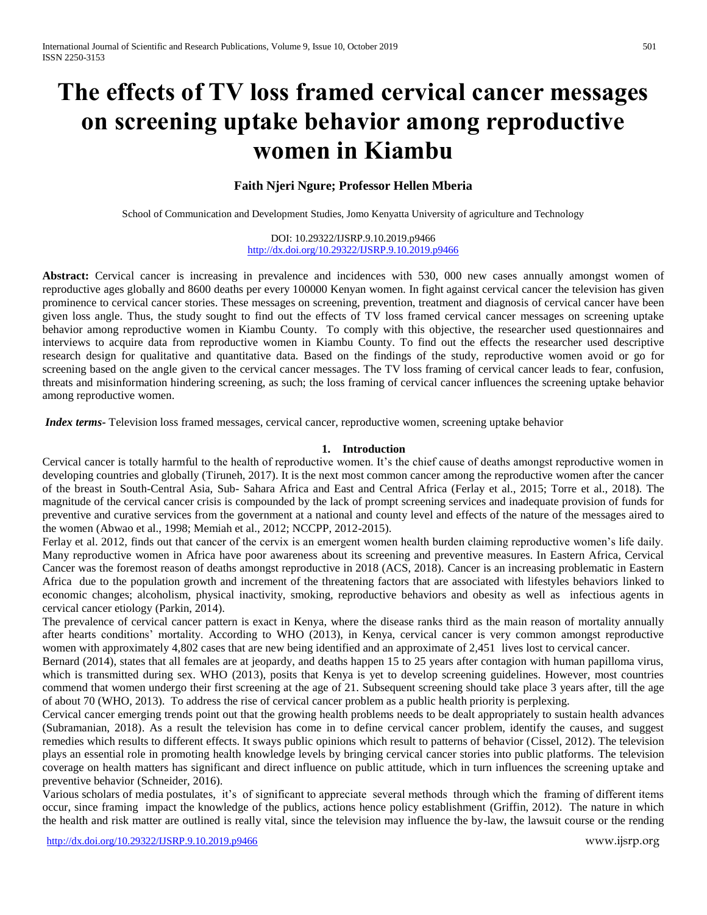# **The effects of TV loss framed cervical cancer messages on screening uptake behavior among reproductive women in Kiambu**

# **Faith Njeri Ngure; Professor Hellen Mberia**

School of Communication and Development Studies, Jomo Kenyatta University of agriculture and Technology

DOI: 10.29322/IJSRP.9.10.2019.p9466 <http://dx.doi.org/10.29322/IJSRP.9.10.2019.p9466>

**Abstract:** Cervical cancer is increasing in prevalence and incidences with 530, 000 new cases annually amongst women of reproductive ages globally and 8600 deaths per every 100000 Kenyan women. In fight against cervical cancer the television has given prominence to cervical cancer stories. These messages on screening, prevention, treatment and diagnosis of cervical cancer have been given loss angle. Thus, the study sought to find out the effects of TV loss framed cervical cancer messages on screening uptake behavior among reproductive women in Kiambu County. To comply with this objective, the researcher used questionnaires and interviews to acquire data from reproductive women in Kiambu County. To find out the effects the researcher used descriptive research design for qualitative and quantitative data. Based on the findings of the study, reproductive women avoid or go for screening based on the angle given to the cervical cancer messages. The TV loss framing of cervical cancer leads to fear, confusion, threats and misinformation hindering screening, as such; the loss framing of cervical cancer influences the screening uptake behavior among reproductive women.

*Index terms-* Television loss framed messages, cervical cancer, reproductive women, screening uptake behavior

### **1. Introduction**

Cervical cancer is totally harmful to the health of reproductive women. It's the chief cause of deaths amongst reproductive women in developing countries and globally (Tiruneh, 2017). It is the next most common cancer among the reproductive women after the cancer of the breast in South-Central Asia, Sub- Sahara Africa and East and Central Africa (Ferlay et al., 2015; Torre et al., 2018). The magnitude of the cervical cancer crisis is compounded by the lack of prompt screening services and inadequate provision of funds for preventive and curative services from the government at a national and county level and effects of the nature of the messages aired to the women (Abwao et al., 1998; Memiah et al., 2012; NCCPP, 2012-2015).

Ferlay et al. 2012, finds out that cancer of the cervix is an emergent women health burden claiming reproductive women's life daily. Many reproductive women in Africa have poor awareness about its screening and preventive measures. In Eastern Africa, Cervical Cancer was the foremost reason of deaths amongst reproductive in 2018 (ACS, 2018). Cancer is an increasing problematic in Eastern Africa due to the population growth and increment of the threatening factors that are associated with lifestyles behaviors linked to economic changes; alcoholism, physical inactivity, smoking, reproductive behaviors and obesity as well as infectious agents in cervical cancer etiology (Parkin, 2014).

The prevalence of cervical cancer pattern is exact in Kenya, where the disease ranks third as the main reason of mortality annually after hearts conditions' mortality. According to WHO (2013), in Kenya, cervical cancer is very common amongst reproductive women with approximately 4,802 cases that are new being identified and an approximate of 2,451 lives lost to cervical cancer.

Bernard (2014), states that all females are at jeopardy, and deaths happen 15 to 25 years after contagion with human papilloma virus, which is transmitted during sex. WHO (2013), posits that Kenya is yet to develop screening guidelines. However, most countries commend that women undergo their first screening at the age of 21. Subsequent screening should take place 3 years after, till the age of about 70 (WHO, 2013). To address the rise of cervical cancer problem as a public health priority is perplexing.

Cervical cancer emerging trends point out that the growing health problems needs to be dealt appropriately to sustain health advances (Subramanian, 2018). As a result the television has come in to define cervical cancer problem, identify the causes, and suggest remedies which results to different effects. It sways public opinions which result to patterns of behavior (Cissel, 2012). The television plays an essential role in promoting health knowledge levels by bringing cervical cancer stories into public platforms. The television coverage on health matters has significant and direct influence on public attitude, which in turn influences the screening uptake and preventive behavior (Schneider, 2016).

Various scholars of media postulates, it's of significant to appreciate several methods through which the framing of different items occur, since framing impact the knowledge of the publics, actions hence policy establishment (Griffin, 2012). The nature in which the health and risk matter are outlined is really vital, since the television may influence the by-law, the lawsuit course or the rending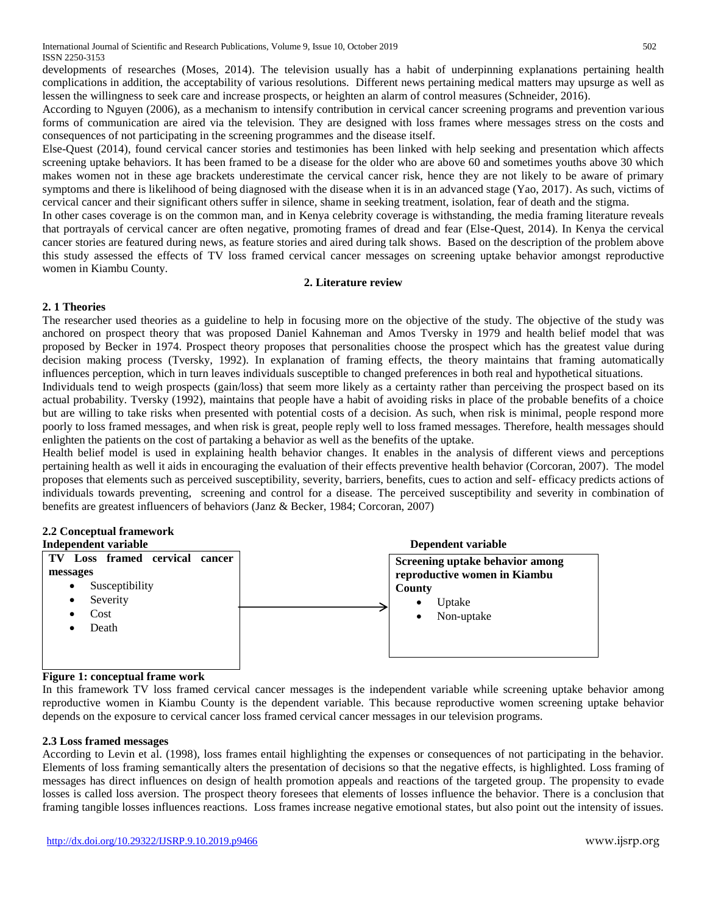developments of researches (Moses, 2014). The television usually has a habit of underpinning explanations pertaining health complications in addition, the acceptability of various resolutions. Different news pertaining medical matters may upsurge as well as lessen the willingness to seek care and increase prospects, or heighten an alarm of control measures (Schneider, 2016).

According to Nguyen (2006), as a mechanism to intensify contribution in cervical cancer screening programs and prevention various forms of communication are aired via the television. They are designed with loss frames where messages stress on the costs and consequences of not participating in the screening programmes and the disease itself.

Else-Quest (2014), found cervical cancer stories and testimonies has been linked with help seeking and presentation which affects screening uptake behaviors. It has been framed to be a disease for the older who are above 60 and sometimes youths above 30 which makes women not in these age brackets underestimate the cervical cancer risk, hence they are not likely to be aware of primary symptoms and there is likelihood of being diagnosed with the disease when it is in an advanced stage (Yao, 2017). As such, victims of cervical cancer and their significant others suffer in silence, shame in seeking treatment, isolation, fear of death and the stigma.

In other cases coverage is on the common man, and in Kenya celebrity coverage is withstanding, the media framing literature reveals that portrayals of cervical cancer are often negative, promoting frames of dread and fear (Else-Quest, 2014). In Kenya the cervical cancer stories are featured during news, as feature stories and aired during talk shows. Based on the description of the problem above this study assessed the effects of TV loss framed cervical cancer messages on screening uptake behavior amongst reproductive women in Kiambu County.

### **2. Literature review**

# **2. 1 Theories**

The researcher used theories as a guideline to help in focusing more on the objective of the study. The objective of the study was anchored on prospect theory that was proposed Daniel Kahneman and Amos Tversky in 1979 and health belief model that was proposed by Becker in 1974. Prospect theory proposes that personalities choose the prospect which has the greatest value during decision making process (Tversky, 1992). In explanation of framing effects, the theory maintains that framing automatically influences perception, which in turn leaves individuals susceptible to changed preferences in both real and hypothetical situations.

Individuals tend to weigh prospects (gain/loss) that seem more likely as a certainty rather than perceiving the prospect based on its actual probability. Tversky (1992), maintains that people have a habit of avoiding risks in place of the probable benefits of a choice but are willing to take risks when presented with potential costs of a decision. As such, when risk is minimal, people respond more poorly to loss framed messages, and when risk is great, people reply well to loss framed messages. Therefore, health messages should enlighten the patients on the cost of partaking a behavior as well as the benefits of the uptake.

Health belief model is used in explaining health behavior changes. It enables in the analysis of different views and perceptions pertaining health as well it aids in encouraging the evaluation of their effects preventive health behavior (Corcoran, 2007). The model proposes that elements such as perceived susceptibility, severity, barriers, benefits, cues to action and self- efficacy predicts actions of individuals towards preventing, screening and control for a disease. The perceived susceptibility and severity in combination of benefits are greatest influencers of behaviors (Janz & Becker, 1984; Corcoran, 2007)

# **2.2 Conceptual framework**



# **Figure 1: conceptual frame work**

In this framework TV loss framed cervical cancer messages is the independent variable while screening uptake behavior among reproductive women in Kiambu County is the dependent variable. This because reproductive women screening uptake behavior depends on the exposure to cervical cancer loss framed cervical cancer messages in our television programs.

# **2.3 Loss framed messages**

According to Levin et al. (1998), loss frames entail highlighting the expenses or consequences of not participating in the behavior. Elements of loss framing semantically alters the presentation of decisions so that the negative effects, is highlighted. Loss framing of messages has direct influences on design of health promotion appeals and reactions of the targeted group. The propensity to evade losses is called loss aversion. The prospect theory foresees that elements of losses influence the behavior. There is a conclusion that framing tangible losses influences reactions. Loss frames increase negative emotional states, but also point out the intensity of issues.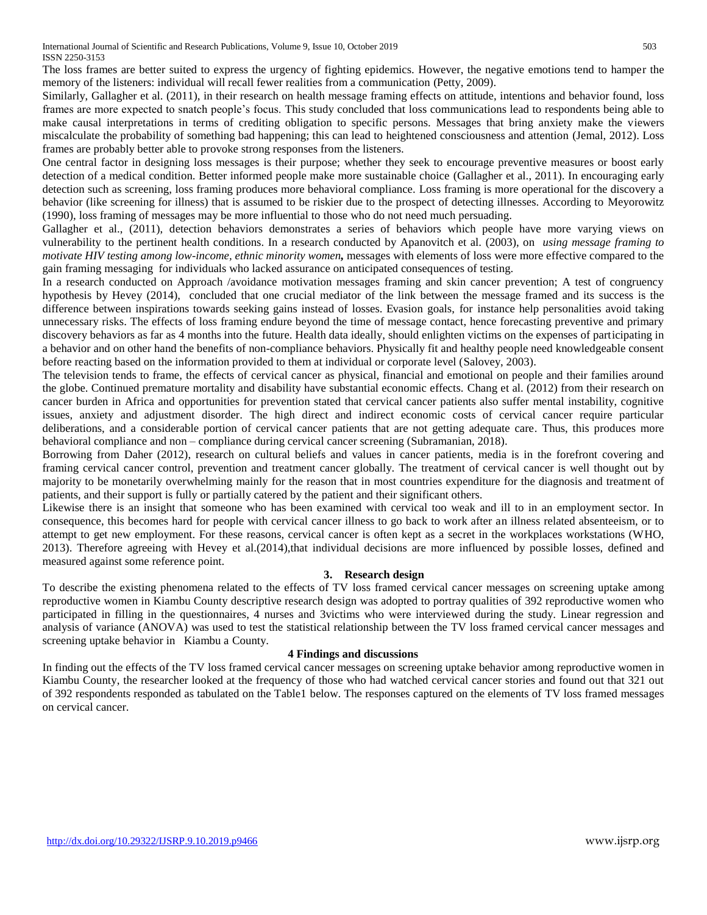The loss frames are better suited to express the urgency of fighting epidemics. However, the negative emotions tend to hamper the memory of the listeners: individual will recall fewer realities from a communication (Petty, 2009).

Similarly, Gallagher et al. (2011), in their research on health message framing effects on attitude, intentions and behavior found, loss frames are more expected to snatch people's focus. This study concluded that loss communications lead to respondents being able to make causal interpretations in terms of crediting obligation to specific persons. Messages that bring anxiety make the viewers miscalculate the probability of something bad happening; this can lead to heightened consciousness and attention (Jemal, 2012). Loss frames are probably better able to provoke strong responses from the listeners.

One central factor in designing loss messages is their purpose; whether they seek to encourage preventive measures or boost early detection of a medical condition. Better informed people make more sustainable choice (Gallagher et al., 2011). In encouraging early detection such as screening, loss framing produces more behavioral compliance. Loss framing is more operational for the discovery a behavior (like screening for illness) that is assumed to be riskier due to the prospect of detecting illnesses. According to Meyorowitz (1990), loss framing of messages may be more influential to those who do not need much persuading.

Gallagher et al., (2011), detection behaviors demonstrates a series of behaviors which people have more varying views on vulnerability to the pertinent health conditions. In a research conducted by Apanovitch et al. (2003), on *using message framing to motivate HIV testing among low-income, ethnic minority women,* messages with elements of loss were more effective compared to the gain framing messaging for individuals who lacked assurance on anticipated consequences of testing.

In a research conducted on Approach /avoidance motivation messages framing and skin cancer prevention; A test of congruency hypothesis by Hevey (2014), concluded that one crucial mediator of the link between the message framed and its success is the difference between inspirations towards seeking gains instead of losses. Evasion goals, for instance help personalities avoid taking unnecessary risks. The effects of loss framing endure beyond the time of message contact, hence forecasting preventive and primary discovery behaviors as far as 4 months into the future. Health data ideally, should enlighten victims on the expenses of participating in a behavior and on other hand the benefits of non-compliance behaviors. Physically fit and healthy people need knowledgeable consent before reacting based on the information provided to them at individual or corporate level (Salovey, 2003).

The television tends to frame, the effects of cervical cancer as physical, financial and emotional on people and their families around the globe. Continued premature mortality and disability have substantial economic effects. Chang et al. (2012) from their research on cancer burden in Africa and opportunities for prevention stated that cervical cancer patients also suffer mental instability, cognitive issues, anxiety and adjustment disorder. The high direct and indirect economic costs of cervical cancer require particular deliberations, and a considerable portion of cervical cancer patients that are not getting adequate care. Thus, this produces more behavioral compliance and non – compliance during cervical cancer screening (Subramanian, 2018).

Borrowing from Daher (2012), research on cultural beliefs and values in cancer patients, media is in the forefront covering and framing cervical cancer control, prevention and treatment cancer globally. The treatment of cervical cancer is well thought out by majority to be monetarily overwhelming mainly for the reason that in most countries expenditure for the diagnosis and treatment of patients, and their support is fully or partially catered by the patient and their significant others.

Likewise there is an insight that someone who has been examined with cervical too weak and ill to in an employment sector. In consequence, this becomes hard for people with cervical cancer illness to go back to work after an illness related absenteeism, or to attempt to get new employment. For these reasons, cervical cancer is often kept as a secret in the workplaces workstations (WHO, 2013). Therefore agreeing with Hevey et al.(2014),that individual decisions are more influenced by possible losses, defined and measured against some reference point.

# **3. Research design**

To describe the existing phenomena related to the effects of TV loss framed cervical cancer messages on screening uptake among reproductive women in Kiambu County descriptive research design was adopted to portray qualities of 392 reproductive women who participated in filling in the questionnaires, 4 nurses and 3victims who were interviewed during the study. Linear regression and analysis of variance (ANOVA) was used to test the statistical relationship between the TV loss framed cervical cancer messages and screening uptake behavior in Kiambu a County.

### **4 Findings and discussions**

In finding out the effects of the TV loss framed cervical cancer messages on screening uptake behavior among reproductive women in Kiambu County, the researcher looked at the frequency of those who had watched cervical cancer stories and found out that 321 out of 392 respondents responded as tabulated on the Table1 below. The responses captured on the elements of TV loss framed messages on cervical cancer.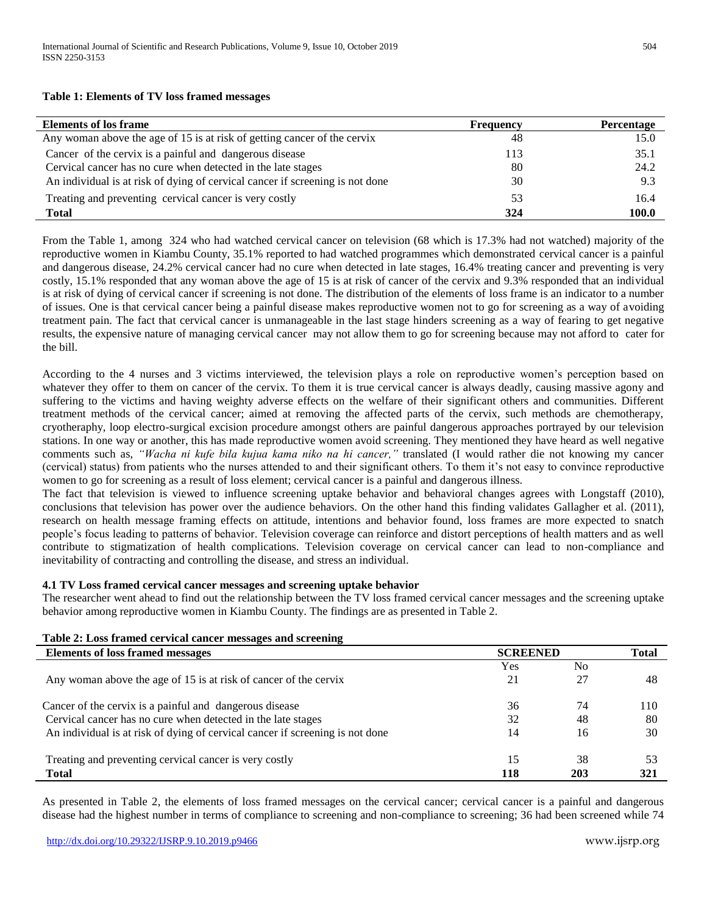**Table 1: Elements of TV loss framed messages**

| <b>Elements of los frame</b>                                                  | <b>Frequency</b> | <b>Percentage</b> |
|-------------------------------------------------------------------------------|------------------|-------------------|
| Any woman above the age of 15 is at risk of getting cancer of the cervix      | 48               | 15.0              |
| Cancer of the cervix is a painful and dangerous disease                       | 113              | 35.1              |
| Cervical cancer has no cure when detected in the late stages                  | 80               | 24.2              |
| An individual is at risk of dying of cervical cancer if screening is not done | 30               | 9.3               |
| Treating and preventing cervical cancer is very costly                        | 53               | 16.4              |
| <b>Total</b>                                                                  | 324              | 100.0             |

From the Table 1, among 324 who had watched cervical cancer on television (68 which is 17.3% had not watched) majority of the reproductive women in Kiambu County, 35.1% reported to had watched programmes which demonstrated cervical cancer is a painful and dangerous disease, 24.2% cervical cancer had no cure when detected in late stages, 16.4% treating cancer and preventing is very costly, 15.1% responded that any woman above the age of 15 is at risk of cancer of the cervix and 9.3% responded that an individual is at risk of dying of cervical cancer if screening is not done. The distribution of the elements of loss frame is an indicator to a number of issues. One is that cervical cancer being a painful disease makes reproductive women not to go for screening as a way of avoiding treatment pain. The fact that cervical cancer is unmanageable in the last stage hinders screening as a way of fearing to get negative results, the expensive nature of managing cervical cancer may not allow them to go for screening because may not afford to cater for the bill.

According to the 4 nurses and 3 victims interviewed, the television plays a role on reproductive women's perception based on whatever they offer to them on cancer of the cervix. To them it is true cervical cancer is always deadly, causing massive agony and suffering to the victims and having weighty adverse effects on the welfare of their significant others and communities. Different treatment methods of the cervical cancer; aimed at removing the affected parts of the cervix, such methods are chemotherapy, cryotheraphy, loop electro-surgical excision procedure amongst others are painful dangerous approaches portrayed by our television stations. In one way or another, this has made reproductive women avoid screening. They mentioned they have heard as well negative comments such as, *"Wacha ni kufe bila kujua kama niko na hi cancer,"* translated (I would rather die not knowing my cancer (cervical) status) from patients who the nurses attended to and their significant others. To them it's not easy to convince reproductive women to go for screening as a result of loss element; cervical cancer is a painful and dangerous illness.

The fact that television is viewed to influence screening uptake behavior and behavioral changes agrees with Longstaff (2010), conclusions that television has power over the audience behaviors. On the other hand this finding validates Gallagher et al. (2011), research on health message framing effects on attitude, intentions and behavior found, loss frames are more expected to snatch people's focus leading to patterns of behavior. Television coverage can reinforce and distort perceptions of health matters and as well contribute to stigmatization of health complications. Television coverage on cervical cancer can lead to non-compliance and inevitability of contracting and controlling the disease, and stress an individual.

## **4.1 TV Loss framed cervical cancer messages and screening uptake behavior**

The researcher went ahead to find out the relationship between the TV loss framed cervical cancer messages and the screening uptake behavior among reproductive women in Kiambu County. The findings are as presented in Table 2.

| Table 2: Loss framed cervical cancer messages and screening                   |                 |                |              |  |
|-------------------------------------------------------------------------------|-----------------|----------------|--------------|--|
| <b>Elements of loss framed messages</b>                                       | <b>SCREENED</b> |                | <b>Total</b> |  |
|                                                                               | Yes             | N <sub>0</sub> |              |  |
| Any woman above the age of 15 is at risk of cancer of the cervix              | 21              | 27             | 48           |  |
| Cancer of the cervix is a painful and dangerous disease                       | 36              | 74             | 110          |  |
| Cervical cancer has no cure when detected in the late stages                  | 32              | 48             | 80           |  |
| An individual is at risk of dying of cervical cancer if screening is not done | 14              | 16             | 30           |  |
| Treating and preventing cervical cancer is very costly                        | 15              | 38             | 53           |  |
| <b>Total</b>                                                                  | 118             | 203            | 321          |  |

As presented in Table 2, the elements of loss framed messages on the cervical cancer; cervical cancer is a painful and dangerous disease had the highest number in terms of compliance to screening and non-compliance to screening; 36 had been screened while 74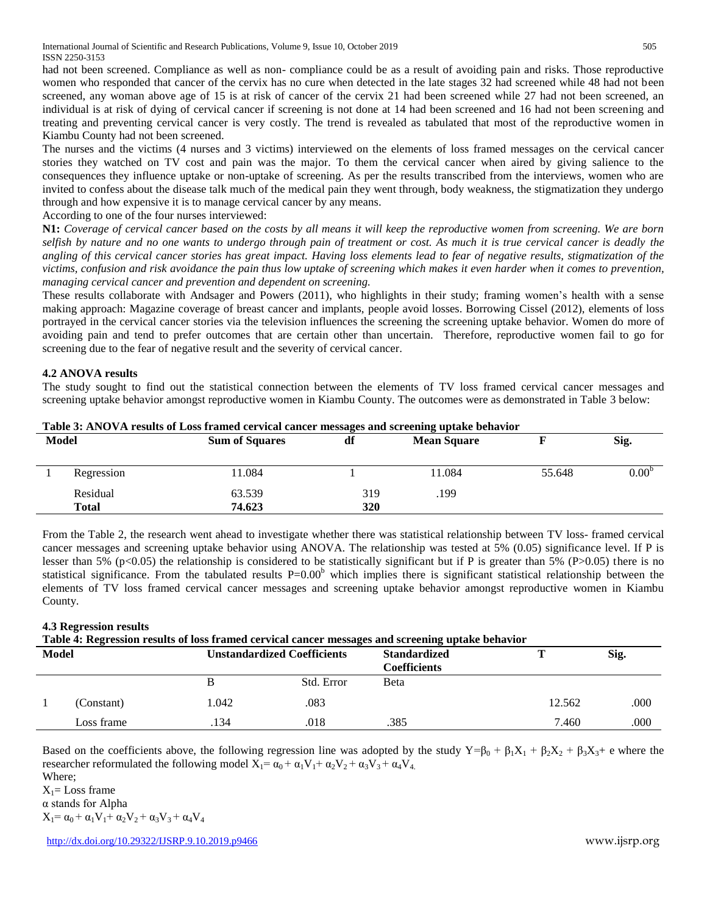International Journal of Scientific and Research Publications, Volume 9, Issue 10, October 2019 505 ISSN 2250-3153

had not been screened. Compliance as well as non- compliance could be as a result of avoiding pain and risks. Those reproductive women who responded that cancer of the cervix has no cure when detected in the late stages 32 had screened while 48 had not been screened, any woman above age of 15 is at risk of cancer of the cervix 21 had been screened while 27 had not been screened, an individual is at risk of dying of cervical cancer if screening is not done at 14 had been screened and 16 had not been screening and treating and preventing cervical cancer is very costly. The trend is revealed as tabulated that most of the reproductive women in Kiambu County had not been screened.

The nurses and the victims (4 nurses and 3 victims) interviewed on the elements of loss framed messages on the cervical cancer stories they watched on TV cost and pain was the major. To them the cervical cancer when aired by giving salience to the consequences they influence uptake or non-uptake of screening. As per the results transcribed from the interviews, women who are invited to confess about the disease talk much of the medical pain they went through, body weakness, the stigmatization they undergo through and how expensive it is to manage cervical cancer by any means.

According to one of the four nurses interviewed:

**N1:** *Coverage of cervical cancer based on the costs by all means it will keep the reproductive women from screening. We are born selfish by nature and no one wants to undergo through pain of treatment or cost. As much it is true cervical cancer is deadly the angling of this cervical cancer stories has great impact. Having loss elements lead to fear of negative results, stigmatization of the victims, confusion and risk avoidance the pain thus low uptake of screening which makes it even harder when it comes to prevention, managing cervical cancer and prevention and dependent on screening.*

These results collaborate with Andsager and Powers (2011), who highlights in their study; framing women's health with a sense making approach: Magazine coverage of breast cancer and implants, people avoid losses. Borrowing Cissel (2012), elements of loss portrayed in the cervical cancer stories via the television influences the screening the screening uptake behavior. Women do more of avoiding pain and tend to prefer outcomes that are certain other than uncertain. Therefore, reproductive women fail to go for screening due to the fear of negative result and the severity of cervical cancer.

### **4.2 ANOVA results**

The study sought to find out the statistical connection between the elements of TV loss framed cervical cancer messages and screening uptake behavior amongst reproductive women in Kiambu County. The outcomes were as demonstrated in Table 3 below:

| Model |                          | <b>Sum of Squares</b> | df         | <b>Mean Square</b> |        | Sig.              |
|-------|--------------------------|-----------------------|------------|--------------------|--------|-------------------|
|       | Regression               | 1.084                 |            | 11.084             | 55.648 | 0.00 <sup>b</sup> |
|       | Residual<br><b>Total</b> | 63.539<br>74.623      | 319<br>320 | .199               |        |                   |

**Table 3: ANOVA results of Loss framed cervical cancer messages and screening uptake behavior**

From the Table 2, the research went ahead to investigate whether there was statistical relationship between TV loss- framed cervical cancer messages and screening uptake behavior using ANOVA. The relationship was tested at 5% (0.05) significance level. If P is lesser than 5% (p<0.05) the relationship is considered to be statistically significant but if P is greater than 5% (P>0.05) there is no statistical significance. From the tabulated results  $P=0.00<sup>b</sup>$  which implies there is significant statistical relationship between the elements of TV loss framed cervical cancer messages and screening uptake behavior amongst reproductive women in Kiambu County.

### **4.3 Regression results**

| Table 4: Regression results of loss framed cervical cancer messages and screening uptake behavior |            |       |                                    |                                            |        |      |
|---------------------------------------------------------------------------------------------------|------------|-------|------------------------------------|--------------------------------------------|--------|------|
| <b>Model</b>                                                                                      |            |       | <b>Unstandardized Coefficients</b> | <b>Standardized</b><br><b>Coefficients</b> |        | Sig. |
|                                                                                                   |            | В     | Std. Error                         | <b>B</b> eta                               |        |      |
|                                                                                                   | (Constant) | 1.042 | .083                               |                                            | 12.562 | .000 |
|                                                                                                   | Loss frame | .134  | .018                               | .385                                       | 7.460  | .000 |

Based on the coefficients above, the following regression line was adopted by the study  $Y=\beta_0 + \beta_1X_1 + \beta_2X_2 + \beta_3X_3 + \epsilon$  where the researcher reformulated the following model  $X_1 = \alpha_0 + \alpha_1 V_1 + \alpha_2 V_2 + \alpha_3 V_3 + \alpha_4 V_4$ . Where;

 $X_1 = Loss$  frame

α stands for Alpha

 $X_1 = \alpha_0 + \alpha_1 V_1 + \alpha_2 V_2 + \alpha_3 V_3 + \alpha_4 V_4$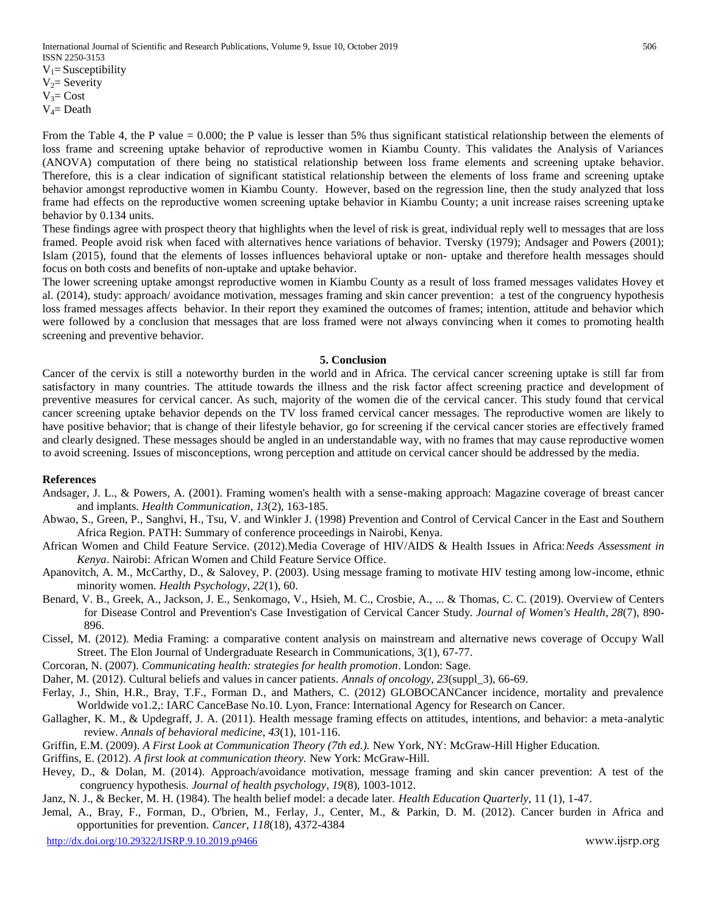$V_4$ = Death

From the Table 4, the P value = 0.000; the P value is lesser than 5% thus significant statistical relationship between the elements of loss frame and screening uptake behavior of reproductive women in Kiambu County. This validates the Analysis of Variances (ANOVA) computation of there being no statistical relationship between loss frame elements and screening uptake behavior. Therefore, this is a clear indication of significant statistical relationship between the elements of loss frame and screening uptake behavior amongst reproductive women in Kiambu County. However, based on the regression line, then the study analyzed that loss frame had effects on the reproductive women screening uptake behavior in Kiambu County; a unit increase raises screening uptake behavior by 0.134 units.

These findings agree with prospect theory that highlights when the level of risk is great, individual reply well to messages that are loss framed. People avoid risk when faced with alternatives hence variations of behavior. Tversky (1979); Andsager and Powers (2001); Islam (2015), found that the elements of losses influences behavioral uptake or non- uptake and therefore health messages should focus on both costs and benefits of non-uptake and uptake behavior.

The lower screening uptake amongst reproductive women in Kiambu County as a result of loss framed messages validates Hovey et al. (2014), study: approach/ avoidance motivation, messages framing and skin cancer prevention: a test of the congruency hypothesis loss framed messages affects behavior. In their report they examined the outcomes of frames; intention, attitude and behavior which were followed by a conclusion that messages that are loss framed were not always convincing when it comes to promoting health screening and preventive behavior.

#### **5. Conclusion**

Cancer of the cervix is still a noteworthy burden in the world and in Africa. The cervical cancer screening uptake is still far from satisfactory in many countries. The attitude towards the illness and the risk factor affect screening practice and development of preventive measures for cervical cancer. As such, majority of the women die of the cervical cancer. This study found that cervical cancer screening uptake behavior depends on the TV loss framed cervical cancer messages. The reproductive women are likely to have positive behavior; that is change of their lifestyle behavior, go for screening if the cervical cancer stories are effectively framed and clearly designed. These messages should be angled in an understandable way, with no frames that may cause reproductive women to avoid screening. Issues of misconceptions, wrong perception and attitude on cervical cancer should be addressed by the media.

#### **References**

- Andsager, J. L., & Powers, A. (2001). Framing women's health with a sense-making approach: Magazine coverage of breast cancer and implants. *Health Communication*, *13*(2), 163-185.
- Abwao, S., Green, P., Sanghvi, H., Tsu, V. and Winkler J. (1998) Prevention and Control of Cervical Cancer in the East and Southern Africa Region. PATH: Summary of conference proceedings in Nairobi, Kenya.
- African Women and Child Feature Service. (2012).Media Coverage of HIV/AIDS & Health Issues in Africa:*Needs Assessment in Kenya*. Nairobi: African Women and Child Feature Service Office.
- Apanovitch, A. M., McCarthy, D., & Salovey, P. (2003). Using message framing to motivate HIV testing among low-income, ethnic minority women. *Health Psychology*, *22*(1), 60.
- Benard, V. B., Greek, A., Jackson, J. E., Senkomago, V., Hsieh, M. C., Crosbie, A., ... & Thomas, C. C. (2019). Overview of Centers for Disease Control and Prevention's Case Investigation of Cervical Cancer Study. *Journal of Women's Health*, *28*(7), 890- 896.
- Cissel, M. (2012). Media Framing: a comparative content analysis on mainstream and alternative news coverage of Occupy Wall Street. The Elon Journal of Undergraduate Research in Communications, 3(1), 67-77.
- Corcoran, N. (2007). *Communicating health: strategies for health promotion*. London: Sage.
- Daher, M. (2012). Cultural beliefs and values in cancer patients. *Annals of oncology*, *23*(suppl\_3), 66-69.
- Ferlay, J., Shin, H.R., Bray, T.F., Forman D., and Mathers, C. (2012) GLOBOCANCancer incidence, mortality and prevalence Worldwide vo1.2,: IARC CanceBase No.10. Lyon, France: International Agency for Research on Cancer.
- Gallagher, K. M., & Updegraff, J. A. (2011). Health message framing effects on attitudes, intentions, and behavior: a meta-analytic review. *Annals of behavioral medicine*, *43*(1), 101-116.
- Griffin, E.M. (2009). *A First Look at Communication Theory (7th ed.).* New York, NY: McGraw-Hill Higher Education.
- Griffins, E. (2012). *A first look at communication theory.* New York: McGraw-Hill.
- Hevey, D., & Dolan, M. (2014). Approach/avoidance motivation, message framing and skin cancer prevention: A test of the congruency hypothesis. *Journal of health psychology*, *19*(8), 1003-1012.
- Janz, N. J., & Becker, M. H. (1984). The health belief model: a decade later. *Health Education Quarterly*, 11 (1), 1-47.
- Jemal, A., Bray, F., Forman, D., O'brien, M., Ferlay, J., Center, M., & Parkin, D. M. (2012). Cancer burden in Africa and opportunities for prevention. *Cancer*, *118*(18), 4372-4384

http://dx.doi.org/10.29322/IJSRP.9.10.2019.p9466 www.ijsrp.org www.ijsrp.org